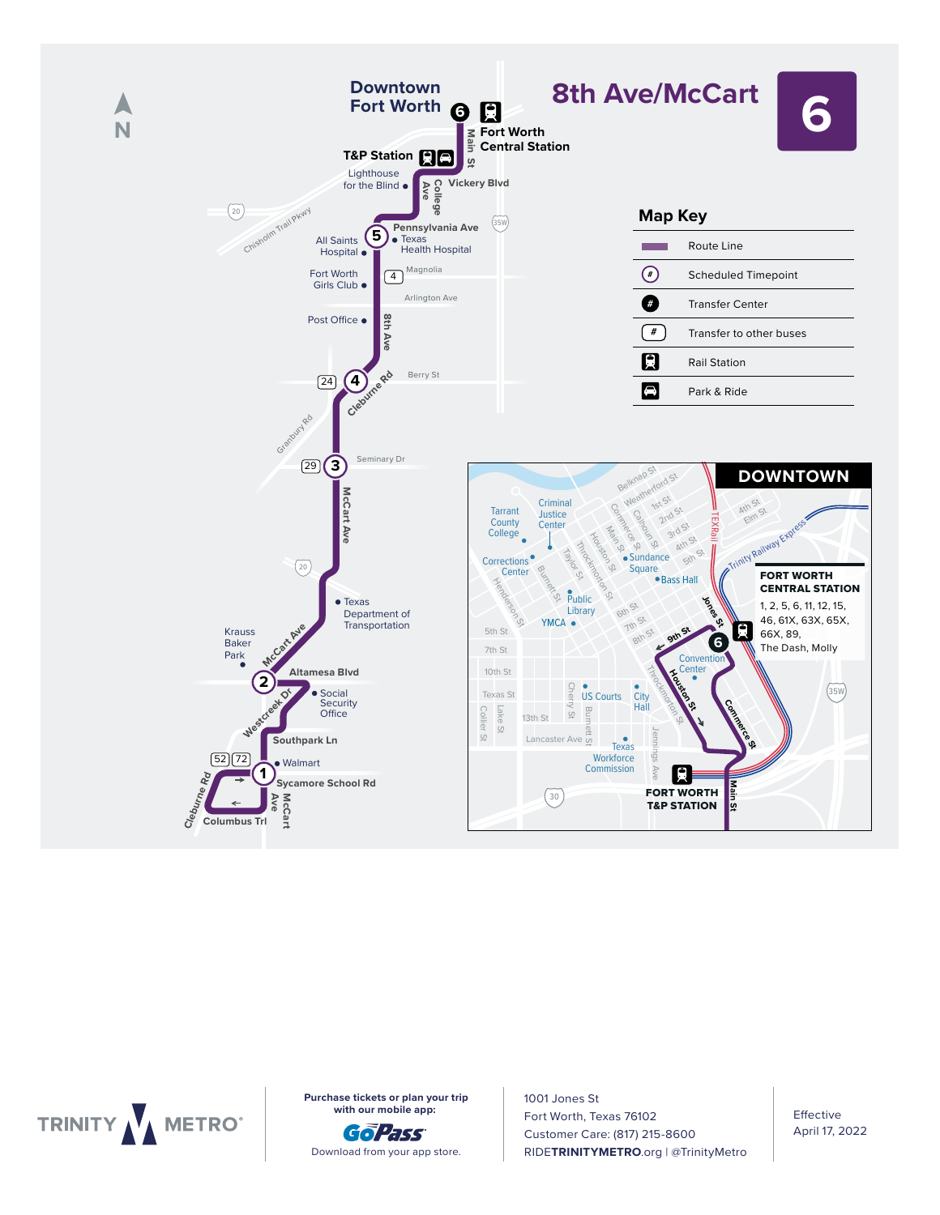



**with our mobile app:** 

6:29 6:38 6:46 6:53 7:04 7:12 7:05 7:21 7:29 7:36 7:47 8:02

Download from your app store.

1001 Jones St Fort Worth, Texas 76102 Customer Care: (817) 215-8600 **RIDETRINITYMETRO.**org | @TrinityMetro **Purchase tickets or plan your trip**  $\begin{array}{|c|c|c|c|}\n\hline\n\textbf{1001 Jones St}\n\hline\n\end{array}$ SIABLE TO SALE TO SALE TO SALE TO MINI OUR HOURS AND THOUSE APPEARING THE TOTAL TO THE TO SALE TO SALE TO THE T<br>Total Texas 76102 **THE RUBBLE REPORT OF STATE AND RESERVE THE SECOND APRIL 17, 20** 

Effective April 17, 2022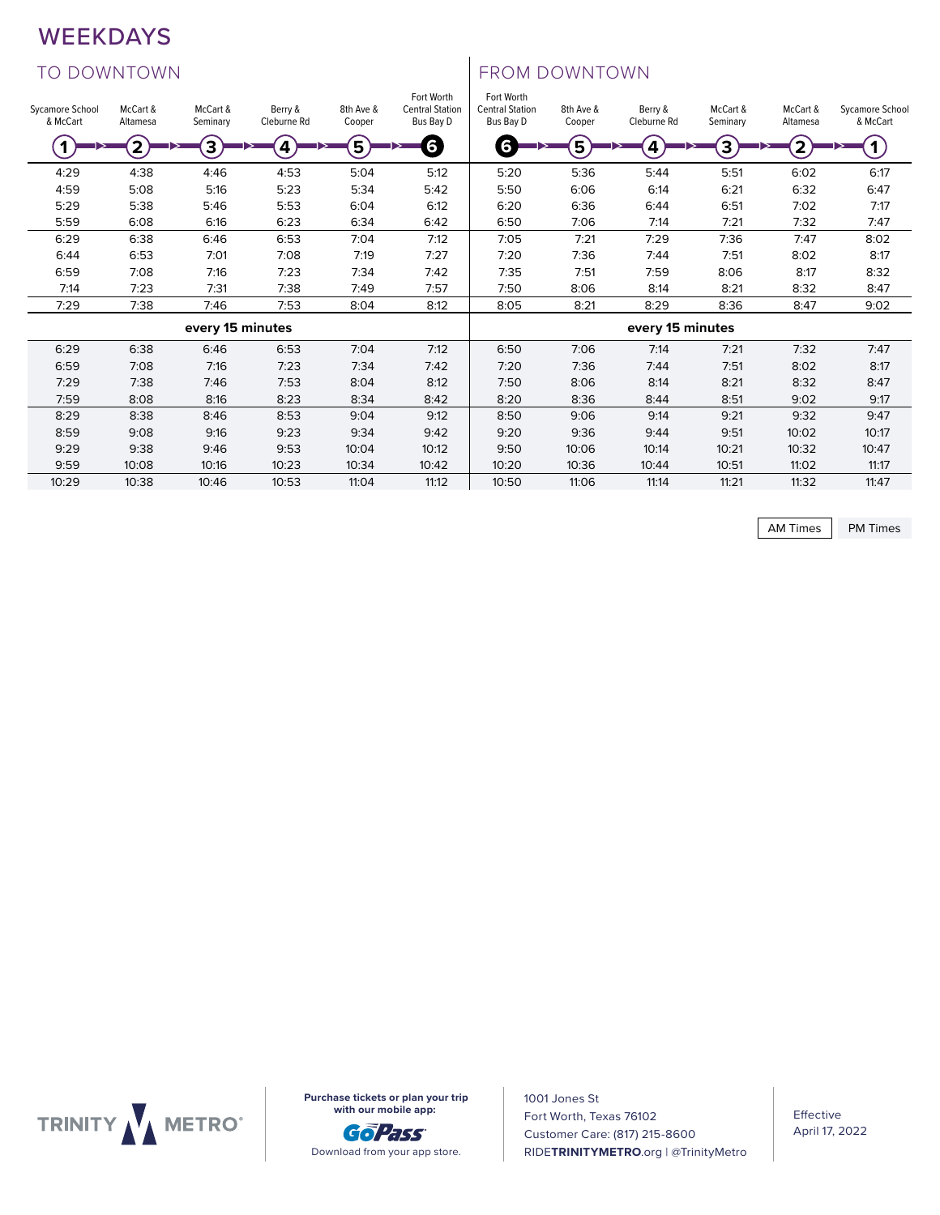## WEEKDAYS

# TO DOWNTOWN TO DOWNTOWN

| <b>WEEKDAYS</b>             |                      |                          |                        |                        |                                                   |                                                   |                        |                          |                      |                         |                             |
|-----------------------------|----------------------|--------------------------|------------------------|------------------------|---------------------------------------------------|---------------------------------------------------|------------------------|--------------------------|----------------------|-------------------------|-----------------------------|
| <b>TO DOWNTOWN</b>          |                      |                          |                        |                        |                                                   | FROM DOWNTOWN                                     |                        |                          |                      |                         |                             |
| Sycamore School<br>& McCart | McCart &<br>Altamesa | McCart &<br>Seminary     | Berry &<br>Cleburne Rd | 8th Ave &<br>Cooper    | Fort Worth<br><b>Central Station</b><br>Bus Bay D | Fort Worth<br><b>Central Station</b><br>Bus Bay D | 8th Ave &<br>Cooper    | Berry &<br>Cleburne Rd   | McCart &<br>Seminary | McCart &<br>Altamesa    | Sycamore School<br>& McCart |
| $\left( 1\right)$           | 2                    | 3                        | $\bm{A}$               | $\widehat{\mathsf{5}}$ | 6                                                 | 6                                                 | $\widehat{\mathsf{S}}$ | $\bm{A}$                 | 3                    | $\widehat{\mathcal{Z}}$ | G)                          |
| 4:29<br>4:59                | 4:38<br>5:08         | 4:46<br>5:16             | 4:53<br>5:23           | 5:04<br>5:34           | 5:12<br>5:42                                      | 5:20<br>5:50                                      | 5:36<br>6:06           | 5:44<br>6:14             | 5:51<br>6:21         | 6:02<br>6:32            | 6:17<br>6:47                |
| 5:29<br>5:59                | 5:38<br>6:08         | 5:46<br>6:16             | 5:53<br>6:23           | 6:04<br>6:34           | 6:12<br>6:42                                      | 6:20<br>6:50                                      | 6:36<br>7:06           | 6:44<br>7:14             | 6:51<br>7:21         | 7:02<br>7:32            | 7:17<br>7:47                |
| 6:29                        | 6:38                 | 6:46                     | 6:53                   | 7:04                   | 7:12                                              | 7:05                                              | 7:21                   | 7:29                     | 7:36                 | 7:47                    | 8:02                        |
| 6:44<br>6:59                | 6:53<br>7:08         | 7:01<br>7:16             | 7:08<br>7:23           | 7:19<br>7:34           | 7:27<br>7:42                                      | 7:20<br>7:35                                      | 7:36<br>7:51           | 7:44<br>7:59             | 7:51<br>8:06         | 8:02<br>8:17            | 8:17<br>8:32                |
| 7:14                        | 7:23                 | 7:31                     | 7:38                   | 7:49                   | 7:57                                              | 7:50                                              | 8:06                   | 8:14                     | 8:21                 | 8:32                    | 8:47                        |
| 7:29                        | 7:38                 | 7:46<br>every 15 minutes | 7:53                   | 8:04                   | 8:12                                              | 8:05                                              | 8:21                   | 8:29<br>every 15 minutes | 8:36                 | 8:47                    | 9:02                        |
| 6:29                        | 6:38                 | 6:46                     | 6:53                   | 7:04                   | 7:12                                              | 6:50                                              | 7:06                   | 7:14                     | 7:21                 | 7:32                    | 7:47                        |
| 6:59                        | 7:08                 | 7:16                     | 7:23                   | 7:34                   | 7:42                                              | 7:20                                              | 7:36                   | 7:44                     | 7:51                 | 8:02                    | 8:17                        |
| 7:29<br>7:59                | 7:38<br>8:08         | 7:46<br>8:16             | 7:53<br>8:23           | 8:04<br>8:34           | 8:12<br>8:42                                      | 7:50<br>8:20                                      | 8:06<br>8:36           | 8:14<br>8:44             | 8:21<br>8:51         | 8:32<br>9:02            | 8:47<br>9:17                |
| 8:29                        | 8:38                 | 8:46                     | 8:53                   | 9:04                   | 9:12                                              | 8:50                                              | 9:06                   | 9:14                     | 9:21                 | 9:32                    | 9:47                        |
| 8:59<br>9:29                | 9:08<br>9:38         | 9:16<br>9:46             | 9:23<br>9:53           | 9:34<br>10:04          | 9:42<br>10:12                                     | 9:20<br>9:50                                      | 9:36<br>10:06          | 9:44<br>10:14            | 9:51<br>10:21        | 10:02<br>10:32          | 10:17<br>10:47              |
| 9:59<br>10:29               | 10:08<br>10:38       | 10:16<br>10:46           | 10:23<br>10:53         | 10:34<br>11:04         | 10:42<br>11:12                                    | 10:20<br>10:50                                    | 10:36<br>11:06         | 10:44<br>11:14           | 10:51<br>11:21       | 11:02<br>11:32          | 11:17<br>11:47              |

AM Times | PM Times



**Purchase tickets or plan your trip with our mobile app:** 



1001 Jones St Fort Worth, Texas 76102 Customer Care: (817) 215-8600 RIDE**TRINITYMETRO**.org | @TrinityMetro

Effective April 17, 2022